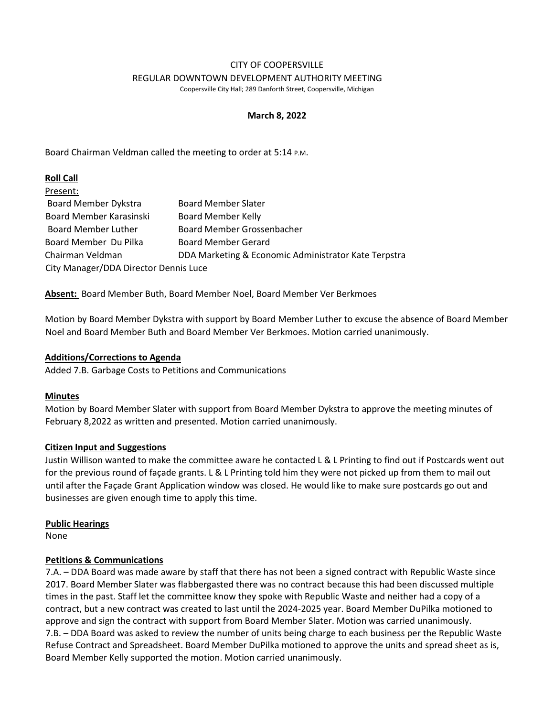#### CITY OF COOPERSVILLE REGULAR DOWNTOWN DEVELOPMENT AUTHORITY MEETING

Coopersville City Hall; 289 Danforth Street, Coopersville, Michigan

## **March 8, 2022**

Board Chairman Veldman called the meeting to order at 5:14 P.M.

## **Roll Call**

| Present:                              |                                                      |
|---------------------------------------|------------------------------------------------------|
| <b>Board Member Dykstra</b>           | <b>Board Member Slater</b>                           |
| Board Member Karasinski               | <b>Board Member Kelly</b>                            |
| <b>Board Member Luther</b>            | Board Member Grossenbacher                           |
| Board Member Du Pilka                 | <b>Board Member Gerard</b>                           |
| Chairman Veldman                      | DDA Marketing & Economic Administrator Kate Terpstra |
| City Manager/DDA Director Dennis Luce |                                                      |

**Absent:** Board Member Buth, Board Member Noel, Board Member Ver Berkmoes

Motion by Board Member Dykstra with support by Board Member Luther to excuse the absence of Board Member Noel and Board Member Buth and Board Member Ver Berkmoes. Motion carried unanimously.

## **Additions/Corrections to Agenda**

Added 7.B. Garbage Costs to Petitions and Communications

# **Minutes**

Motion by Board Member Slater with support from Board Member Dykstra to approve the meeting minutes of February 8,2022 as written and presented. Motion carried unanimously.

## **Citizen Input and Suggestions**

Justin Willison wanted to make the committee aware he contacted L & L Printing to find out if Postcards went out for the previous round of façade grants. L & L Printing told him they were not picked up from them to mail out until after the Façade Grant Application window was closed. He would like to make sure postcards go out and businesses are given enough time to apply this time.

# **Public Hearings**

None

# **Petitions & Communications**

7.A. – DDA Board was made aware by staff that there has not been a signed contract with Republic Waste since 2017. Board Member Slater was flabbergasted there was no contract because this had been discussed multiple times in the past. Staff let the committee know they spoke with Republic Waste and neither had a copy of a contract, but a new contract was created to last until the 2024-2025 year. Board Member DuPilka motioned to approve and sign the contract with support from Board Member Slater. Motion was carried unanimously. 7.B. – DDA Board was asked to review the number of units being charge to each business per the Republic Waste Refuse Contract and Spreadsheet. Board Member DuPilka motioned to approve the units and spread sheet as is, Board Member Kelly supported the motion. Motion carried unanimously.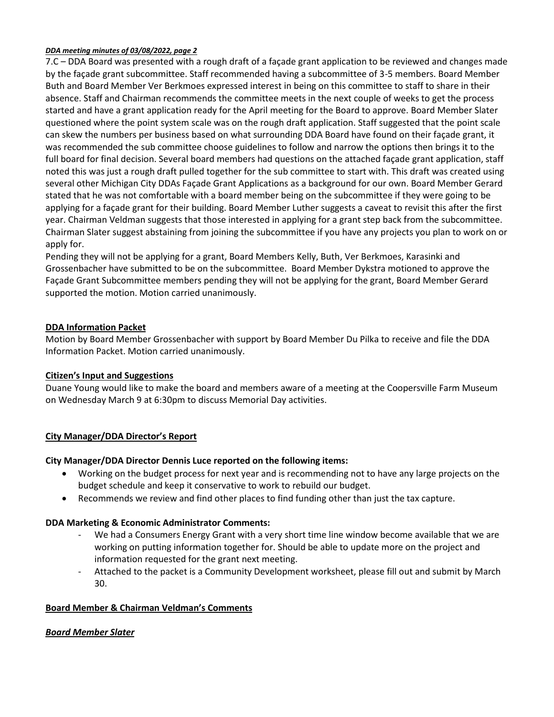#### *DDA meeting minutes of 03/08/2022, page 2*

7.C – DDA Board was presented with a rough draft of a façade grant application to be reviewed and changes made by the façade grant subcommittee. Staff recommended having a subcommittee of 3-5 members. Board Member Buth and Board Member Ver Berkmoes expressed interest in being on this committee to staff to share in their absence. Staff and Chairman recommends the committee meets in the next couple of weeks to get the process started and have a grant application ready for the April meeting for the Board to approve. Board Member Slater questioned where the point system scale was on the rough draft application. Staff suggested that the point scale can skew the numbers per business based on what surrounding DDA Board have found on their façade grant, it was recommended the sub committee choose guidelines to follow and narrow the options then brings it to the full board for final decision. Several board members had questions on the attached façade grant application, staff noted this was just a rough draft pulled together for the sub committee to start with. This draft was created using several other Michigan City DDAs Façade Grant Applications as a background for our own. Board Member Gerard stated that he was not comfortable with a board member being on the subcommittee if they were going to be applying for a façade grant for their building. Board Member Luther suggests a caveat to revisit this after the first year. Chairman Veldman suggests that those interested in applying for a grant step back from the subcommittee. Chairman Slater suggest abstaining from joining the subcommittee if you have any projects you plan to work on or apply for.

Pending they will not be applying for a grant, Board Members Kelly, Buth, Ver Berkmoes, Karasinki and Grossenbacher have submitted to be on the subcommittee. Board Member Dykstra motioned to approve the Façade Grant Subcommittee members pending they will not be applying for the grant, Board Member Gerard supported the motion. Motion carried unanimously.

## **DDA Information Packet**

Motion by Board Member Grossenbacher with support by Board Member Du Pilka to receive and file the DDA Information Packet. Motion carried unanimously.

## **Citizen's Input and Suggestions**

Duane Young would like to make the board and members aware of a meeting at the Coopersville Farm Museum on Wednesday March 9 at 6:30pm to discuss Memorial Day activities.

## **City Manager/DDA Director's Report**

## **City Manager/DDA Director Dennis Luce reported on the following items:**

- Working on the budget process for next year and is recommending not to have any large projects on the budget schedule and keep it conservative to work to rebuild our budget.
- Recommends we review and find other places to find funding other than just the tax capture.

## **DDA Marketing & Economic Administrator Comments:**

- We had a Consumers Energy Grant with a very short time line window become available that we are working on putting information together for. Should be able to update more on the project and information requested for the grant next meeting.
- Attached to the packet is a Community Development worksheet, please fill out and submit by March 30.

## **Board Member & Chairman Veldman's Comments**

# *Board Member Slater*